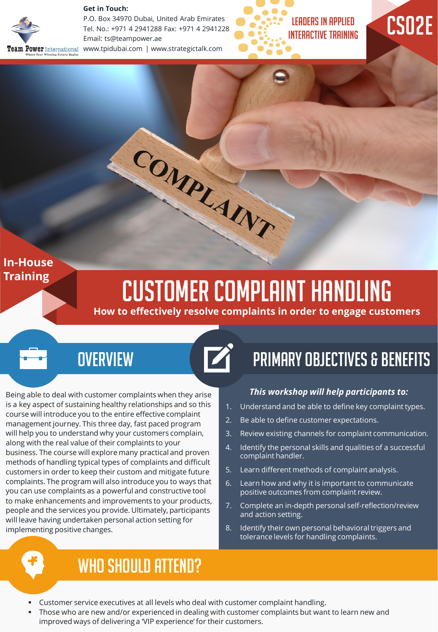### **Get in Touch:**



P.O. Box 34970 Dubai, United Arab Emirates Tel. No.: +971 4 2941288 Fax: +971 4 2941228 Email: ts@teampower.ae www.tpidubai.com | www.strategictalk.com





## **In-House Training**

# Customer Complaint Handling

COMPLAINT

**How to effectively resolve complaints in order to engage customers**

# **OVERVIEW**

Being able to deal with customer complaints when they arise is a key aspect of sustaining healthy relationships and so this course will introduce you to the entire effective complaint management journey. This three day, fast paced program will help you to understand why your customers complain, along with the real value of their complaints to your business. The course will explore many practical and proven methods of handling typical types of complaints and difficult customers in order to keep their custom and mitigate future complaints. The program will also introduce you to ways that you can use complaints as a powerful and constructive tool to make enhancements and improvements to your products, people and the services you provide. Ultimately, participants will leave having undertaken personal action setting for implementing positive changes.

# Primary Objectives & Benefits

## *This workshop will help participants to:*

- 1. Understand and be able to define key complaint types.
- 2. Be able to define customer expectations.
- 3. Review existing channels for complaint communication.
- 4. Identify the personal skills and qualities of a successful complaint handler.
- 5. Learn different methods of complaint analysis.
- 6. Learn how and why it is important to communicate positive outcomes from complaint review.
- 7. Complete an in-depth personal self-reflection/review and action setting.
- 8. Identify their own personal behavioral triggers and tolerance levels for handling complaints.

# WHO SHOULD ATTEND?

- Customer service executives at all levels who deal with customer complaint handling.
- Those who are new and/or experienced in dealing with customer complaints but want to learn new and improved ways of delivering a 'VIP experience' for their customers.